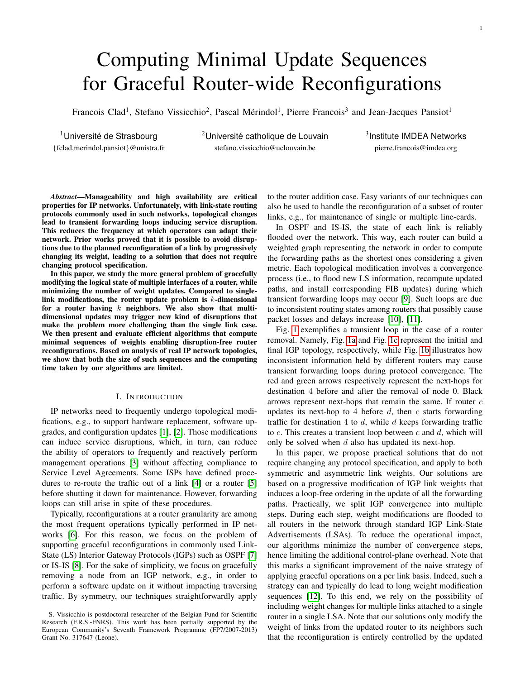# Computing Minimal Update Sequences for Graceful Router-wide Reconfigurations

Francois Clad<sup>1</sup>, Stefano Vissicchio<sup>2</sup>, Pascal Mérindol<sup>1</sup>, Pierre Francois<sup>3</sup> and Jean-Jacques Pansiot<sup>1</sup>

<sup>1</sup>Université de Strasbourg  $20$ niversité catholique de Louvain {fclad,merindol,pansiot}@unistra.fr stefano.vissicchio@uclouvain.be pierre.francois@imdea.org

 $3$ Institute IMDEA Networks

*Abstract*—Manageability and high availability are critical properties for IP networks. Unfortunately, with link-state routing protocols commonly used in such networks, topological changes lead to transient forwarding loops inducing service disruption. This reduces the frequency at which operators can adapt their network. Prior works proved that it is possible to avoid disruptions due to the planned reconfiguration of a link by progressively changing its weight, leading to a solution that does not require changing protocol specification.

In this paper, we study the more general problem of gracefully modifying the logical state of multiple interfaces of a router, while minimizing the number of weight updates. Compared to singlelink modifications, the router update problem is  $k$ -dimensional for a router having  $k$  neighbors. We also show that multidimensional updates may trigger new kind of disruptions that make the problem more challenging than the single link case. We then present and evaluate efficient algorithms that compute minimal sequences of weights enabling disruption-free router reconfigurations. Based on analysis of real IP network topologies, we show that both the size of such sequences and the computing time taken by our algorithms are limited.

# I. INTRODUCTION

IP networks need to frequently undergo topological modifications, e.g., to support hardware replacement, software upgrades, and configuration updates [\[1\]](#page-9-0), [\[2\]](#page-9-1). Those modifications can induce service disruptions, which, in turn, can reduce the ability of operators to frequently and reactively perform management operations [\[3\]](#page-9-2) without affecting compliance to Service Level Agreements. Some ISPs have defined procedures to re-route the traffic out of a link [\[4\]](#page-9-3) or a router [\[5\]](#page-9-4) before shutting it down for maintenance. However, forwarding loops can still arise in spite of these procedures.

Typically, reconfigurations at a router granularity are among the most frequent operations typically performed in IP networks [\[6\]](#page-9-5). For this reason, we focus on the problem of supporting graceful reconfigurations in commonly used Link-State (LS) Interior Gateway Protocols (IGPs) such as OSPF [\[7\]](#page-9-6) or IS-IS [\[8\]](#page-9-7). For the sake of simplicity, we focus on gracefully removing a node from an IGP network, e.g., in order to perform a software update on it without impacting traversing traffic. By symmetry, our techniques straightforwardly apply

to the router addition case. Easy variants of our techniques can also be used to handle the reconfiguration of a subset of router links, e.g., for maintenance of single or multiple line-cards.

In OSPF and IS-IS, the state of each link is reliably flooded over the network. This way, each router can build a weighted graph representing the network in order to compute the forwarding paths as the shortest ones considering a given metric. Each topological modification involves a convergence process (i.e., to flood new LS information, recompute updated paths, and install corresponding FIB updates) during which transient forwarding loops may occur [\[9\]](#page-10-0). Such loops are due to inconsistent routing states among routers that possibly cause packet losses and delays increase [\[10\]](#page-10-1), [\[11\]](#page-10-2).

Fig. [1](#page-1-0) exemplifies a transient loop in the case of a router removal. Namely, Fig. [1a](#page-1-0) and Fig. [1c](#page-1-0) represent the initial and final IGP topology, respectively, while Fig. [1b](#page-1-0) illustrates how inconsistent information held by different routers may cause transient forwarding loops during protocol convergence. The red and green arrows respectively represent the next-hops for destination 4 before and after the removal of node 0. Black arrows represent next-hops that remain the same. If router  $c$ updates its next-hop to 4 before  $d$ , then  $c$  starts forwarding traffic for destination 4 to  $d$ , while  $d$  keeps forwarding traffic to  $c$ . This creates a transient loop between  $c$  and  $d$ , which will only be solved when  $d$  also has updated its next-hop.

In this paper, we propose practical solutions that do not require changing any protocol specification, and apply to both symmetric and asymmetric link weights. Our solutions are based on a progressive modification of IGP link weights that induces a loop-free ordering in the update of all the forwarding paths. Practically, we split IGP convergence into multiple steps. During each step, weight modifications are flooded to all routers in the network through standard IGP Link-State Advertisements (LSAs). To reduce the operational impact, our algorithms minimize the number of convergence steps, hence limiting the additional control-plane overhead. Note that this marks a significant improvement of the naive strategy of applying graceful operations on a per link basis. Indeed, such a strategy can and typically do lead to long weight modification sequences [\[12\]](#page-10-3). To this end, we rely on the possibility of including weight changes for multiple links attached to a single router in a single LSA. Note that our solutions only modify the weight of links from the updated router to its neighbors such that the reconfiguration is entirely controlled by the updated

S. Vissicchio is postdoctoral researcher of the Belgian Fund for Scientific Research (F.R.S.-FNRS). This work has been partially supported by the European Community's Seventh Framework Programme (FP7/2007-2013) Grant No. 317647 (Leone).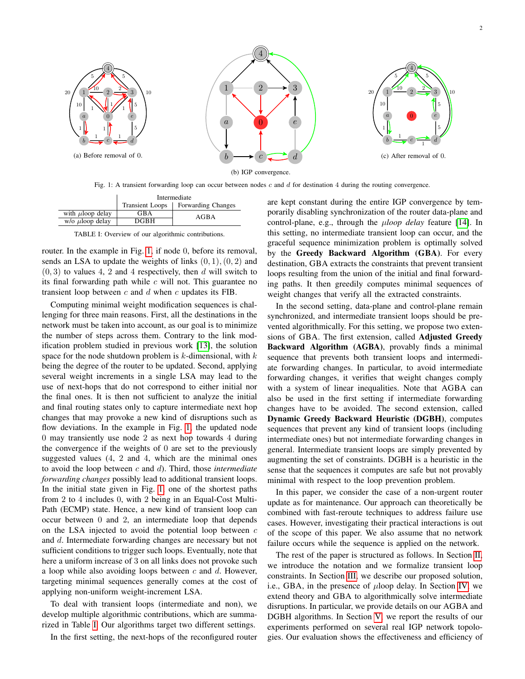<span id="page-1-0"></span>

Fig. 1: A transient forwarding loop can occur between nodes c and d for destination 4 during the routing convergence.

<span id="page-1-1"></span>

|                         | Intermediate           |                           |  |
|-------------------------|------------------------|---------------------------|--|
|                         | <b>Transient Loops</b> | <b>Forwarding Changes</b> |  |
| with $\mu$ loop delay   | GBA                    | AGBA                      |  |
| $w$ /o $\mu$ loop delay | DGBH                   |                           |  |

TABLE I: Overview of our algorithmic contributions.

router. In the example in Fig. [1,](#page-1-0) if node 0, before its removal, sends an LSA to update the weights of links  $(0, 1), (0, 2)$  and  $(0, 3)$  to values 4, 2 and 4 respectively, then d will switch to its final forwarding path while  $c$  will not. This guarantee no transient loop between  $c$  and  $d$  when  $c$  updates its FIB.

Computing minimal weight modification sequences is challenging for three main reasons. First, all the destinations in the network must be taken into account, as our goal is to minimize the number of steps across them. Contrary to the link modification problem studied in previous work [\[13\]](#page-10-4), the solution space for the node shutdown problem is  $k$ -dimensional, with  $k$ being the degree of the router to be updated. Second, applying several weight increments in a single LSA may lead to the use of next-hops that do not correspond to either initial nor the final ones. It is then not sufficient to analyze the initial and final routing states only to capture intermediate next hop changes that may provoke a new kind of disruptions such as flow deviations. In the example in Fig. [1,](#page-1-0) the updated node 0 may transiently use node 2 as next hop towards 4 during the convergence if the weights of 0 are set to the previously suggested values (4, 2 and 4, which are the minimal ones to avoid the loop between c and d). Third, those *intermediate forwarding changes* possibly lead to additional transient loops. In the initial state given in Fig. [1,](#page-1-0) one of the shortest paths from 2 to 4 includes 0, with 2 being in an Equal-Cost Multi-Path (ECMP) state. Hence, a new kind of transient loop can occur between 0 and 2, an intermediate loop that depends on the LSA injected to avoid the potential loop between  $c$ and d. Intermediate forwarding changes are necessary but not sufficient conditions to trigger such loops. Eventually, note that here a uniform increase of 3 on all links does not provoke such a loop while also avoiding loops between  $c$  and  $d$ . However, targeting minimal sequences generally comes at the cost of applying non-uniform weight-increment LSA.

To deal with transient loops (intermediate and non), we develop multiple algorithmic contributions, which are summarized in Table [I.](#page-1-1) Our algorithms target two different settings.

In the first setting, the next-hops of the reconfigured router

are kept constant during the entire IGP convergence by temporarily disabling synchronization of the router data-plane and control-plane, e.g., through the µ*loop delay* feature [\[14\]](#page-10-5). In this setting, no intermediate transient loop can occur, and the graceful sequence minimization problem is optimally solved by the Greedy Backward Algorithm (GBA). For every destination, GBA extracts the constraints that prevent transient loops resulting from the union of the initial and final forwarding paths. It then greedily computes minimal sequences of weight changes that verify all the extracted constraints.

In the second setting, data-plane and control-plane remain synchronized, and intermediate transient loops should be prevented algorithmically. For this setting, we propose two extensions of GBA. The first extension, called Adjusted Greedy Backward Algorithm (AGBA), provably finds a minimal sequence that prevents both transient loops and intermediate forwarding changes. In particular, to avoid intermediate forwarding changes, it verifies that weight changes comply with a system of linear inequalities. Note that AGBA can also be used in the first setting if intermediate forwarding changes have to be avoided. The second extension, called Dynamic Greedy Backward Heuristic (DGBH), computes sequences that prevent any kind of transient loops (including intermediate ones) but not intermediate forwarding changes in general. Intermediate transient loops are simply prevented by augmenting the set of constraints. DGBH is a heuristic in the sense that the sequences it computes are safe but not provably minimal with respect to the loop prevention problem.

In this paper, we consider the case of a non-urgent router update as for maintenance. Our approach can theoretically be combined with fast-reroute techniques to address failure use cases. However, investigating their practical interactions is out of the scope of this paper. We also assume that no network failure occurs while the sequence is applied on the network.

The rest of the paper is structured as follows. In Section [II,](#page-2-0) we introduce the notation and we formalize transient loop constraints. In Section [III,](#page-3-0) we describe our proposed solution, i.e., GBA, in the presence of  $\mu$ loop delay. In Section [IV,](#page-5-0) we extend theory and GBA to algorithmically solve intermediate disruptions. In particular, we provide details on our AGBA and DGBH algorithms. In Section [V,](#page-7-0) we report the results of our experiments performed on several real IGP network topologies. Our evaluation shows the effectiveness and efficiency of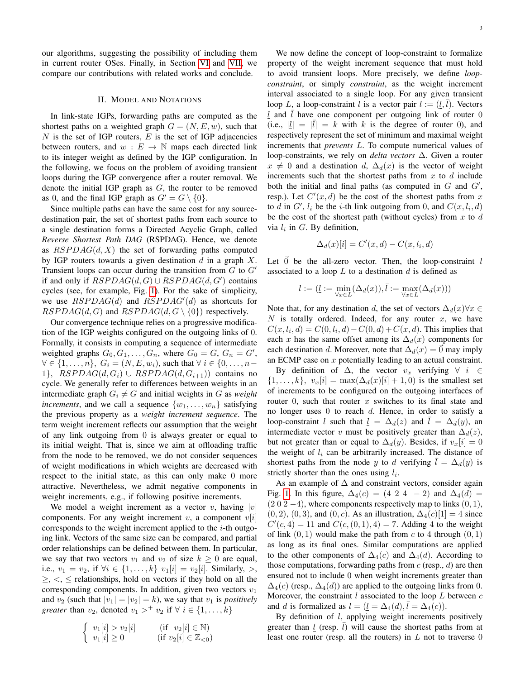our algorithms, suggesting the possibility of including them in current router OSes. Finally, in Section [VI](#page-9-8) and [VII,](#page-9-9) we compare our contributions with related works and conclude.

# II. MODEL AND NOTATIONS

<span id="page-2-0"></span>In link-state IGPs, forwarding paths are computed as the shortest paths on a weighted graph  $G = (N, E, w)$ , such that  $N$  is the set of IGP routers,  $E$  is the set of IGP adjacencies between routers, and  $w : E \to \mathbb{N}$  maps each directed link to its integer weight as defined by the IGP configuration. In the following, we focus on the problem of avoiding transient loops during the IGP convergence after a router removal. We denote the initial IGP graph as  $G$ , the router to be removed as 0, and the final IGP graph as  $G' = G \setminus \{0\}.$ 

Since multiple paths can have the same cost for any sourcedestination pair, the set of shortest paths from each source to a single destination forms a Directed Acyclic Graph, called *Reverse Shortest Path DAG* (RSPDAG). Hence, we denote as  $RSPDAG(d, X)$  the set of forwarding paths computed by IGP routers towards a given destination  $d$  in a graph  $X$ . Transient loops can occur during the transition from  $G$  to  $G'$ if and only if  $RSPDAG(d, G) \cup RSPDAG(d, G')$  contains cycles (see, for example, Fig. [1\)](#page-1-0). For the sake of simplicity, we use  $RSPDAG(d)$  and  $RSPDAG'(d)$  as shortcuts for  $RSPDAG(d, G)$  and  $RSPDAG(d, G \setminus \{0\})$  respectively.

Our convergence technique relies on a progressive modification of the IGP weights configured on the outgoing links of 0. Formally, it consists in computing a sequence of intermediate weighted graphs  $G_0, G_1, \ldots, G_n$ , where  $G_0 = G, G_n = G'$ ,  $\forall \in \{1, ..., n\}, G_i = (N, E, w_i)$ , such that  $\forall i \in \{0, ..., n-1\}$ 1},  $RSPDAG(d, G_i) \cup RSPDAG(d, G_{i+1})$  contains no cycle. We generally refer to differences between weights in an intermediate graph  $G_i \neq G$  and initial weights in G as *weight increments*, and we call a sequence  $\{w_1, \ldots, w_n\}$  satisfying the previous property as a *weight increment sequence*. The term weight increment reflects our assumption that the weight of any link outgoing from 0 is always greater or equal to its initial weight. That is, since we aim at offloading traffic from the node to be removed, we do not consider sequences of weight modifications in which weights are decreased with respect to the initial state, as this can only make 0 more attractive. Nevertheless, we admit negative components in weight increments, e.g., if following positive increments.

We model a weight increment as a vector v, having  $|v|$ components. For any weight increment  $v$ , a component  $v[i]$ corresponds to the weight increment applied to the  $i$ -th outgoing link. Vectors of the same size can be compared, and partial order relationships can be defined between them. In particular, we say that two vectors  $v_1$  and  $v_2$  of size  $k \geq 0$  are equal, i.e.,  $v_1 = v_2$ , if  $\forall i \in \{1, ..., k\}$   $v_1[i] = v_2[i]$ . Similarly, >,  $\geq, \leq, \leq$  relationships, hold on vectors if they hold on all the corresponding components. In addition, given two vectors  $v_1$ and  $v_2$  (such that  $|v_1| = |v_2| = k$ ), we say that  $v_1$  is *positively greater* than  $v_2$ , denoted  $v_1 >^+ v_2$  if  $\forall i \in \{1, ..., k\}$ 

$$
\begin{cases} v_1[i] > v_2[i] & \text{(if } v_2[i] \in \mathbb{N} \\ v_1[i] \ge 0 & \text{(if } v_2[i] \in \mathbb{Z}_{< 0} \end{cases}
$$

We now define the concept of loop-constraint to formalize property of the weight increment sequence that must hold to avoid transient loops. More precisely, we define *loopconstraint*, or simply *constraint*, as the weight increment interval associated to a single loop. For any given transient loop L, a loop-constraint l is a vector pair  $l := (\underline{l}, \overline{l})$ . Vectors  $l$  and  $l$  have one component per outgoing link of router 0 (i.e.,  $|\underline{l}| = |\overline{l}| = k$  with k is the degree of router 0), and respectively represent the set of minimum and maximal weight increments that *prevents* L. To compute numerical values of loop-constraints, we rely on *delta vectors* ∆. Given a router  $x \neq 0$  and a destination d,  $\Delta_d(x)$  is the vector of weight increments such that the shortest paths from  $x$  to  $d$  include both the initial and final paths (as computed in  $G$  and  $G'$ , resp.). Let  $C'(x, d)$  be the cost of the shortest paths from x to d in  $G'$ ,  $l_i$  be the i-th link outgoing from 0, and  $C(x, l_i, d)$ be the cost of the shortest path (without cycles) from  $x$  to  $d$ via  $l_i$  in G. By definition,

$$
\Delta_d(x)[i] = C'(x,d) - C(x,l_i,d)
$$

Let  $\vec{0}$  be the all-zero vector. Then, the loop-constraint l associated to a loop  $L$  to a destination  $d$  is defined as

$$
l:=(\underbar{l}:=\min_{\forall x\in L}(\Delta_d(x)),\bar{l}:=\max_{\forall x\in L}(\Delta_d(x)))
$$

Note that, for any destination d, the set of vectors  $\Delta_d(x)\forall x \in$ N is totally ordered. Indeed, for any router x, we have  $C(x, l_i, d) = C(0, l_i, d) - C(0, d) + C(x, d)$ . This implies that each x has the same offset among its  $\Delta_d(x)$  components for each destination d. Moreover, note that  $\Delta_d(x) = 0$  may imply an ECMP case on  $x$  potentially leading to an actual constraint.

By definition of  $\Delta$ , the vector  $v_x$  verifying  $\forall i \in$  $\{1,\ldots,k\}, v_x[i] = \max(\Delta_d(x)[i] + 1,0)$  is the smallest set of increments to be configured on the outgoing interfaces of router  $0$ , such that router x switches to its final state and no longer uses 0 to reach d. Hence, in order to satisfy a loop-constraint l such that  $\underline{l} = \Delta_d(z)$  and  $\overline{l} = \Delta_d(y)$ , and intermediate vector v must be positively greater than  $\Delta_d(z)$ , but not greater than or equal to  $\Delta_d(y)$ . Besides, if  $v_x[i] = 0$ the weight of  $l_i$  can be arbitrarily increased. The distance of shortest paths from the node y to d verifying  $l = \Delta_d(y)$  is strictly shorter than the ones using  $l_i$ .

As an example of  $\Delta$  and constraint vectors, consider again Fig. [1.](#page-1-0) In this figure,  $\Delta_4(c) = (4 \ 2 \ 4 \ -2)$  and  $\Delta_4(d) =$  $(202 - 4)$ , where components respectively map to links  $(0, 1)$ ,  $(0, 2), (0, 3),$  and  $(0, c)$ . As an illustration,  $\Delta_4(c)[1] = 4$  since  $C'(c, 4) = 11$  and  $C(c, (0, 1), 4) = 7$ . Adding 4 to the weight of link  $(0, 1)$  would make the path from c to 4 through  $(0, 1)$ as long as its final ones. Similar computations are applied to the other components of  $\Delta_4(c)$  and  $\Delta_4(d)$ . According to those computations, forwarding paths from  $c$  (resp.,  $d$ ) are then ensured not to include 0 when weight increments greater than  $\Delta_4(c)$  (resp.,  $\Delta_4(d)$ ) are applied to the outgoing links from 0. Moreover, the constraint  $l$  associated to the loop  $L$  between  $c$ and d is formalized as  $l = (\underline{l} = \Delta_4(d), \overline{l} = \Delta_4(c)).$ 

By definition of  $l$ , applying weight increments positively greater than l (resp.  $\bar{l}$ ) will cause the shortest paths from at least one router (resp. all the routers) in  $L$  not to traverse 0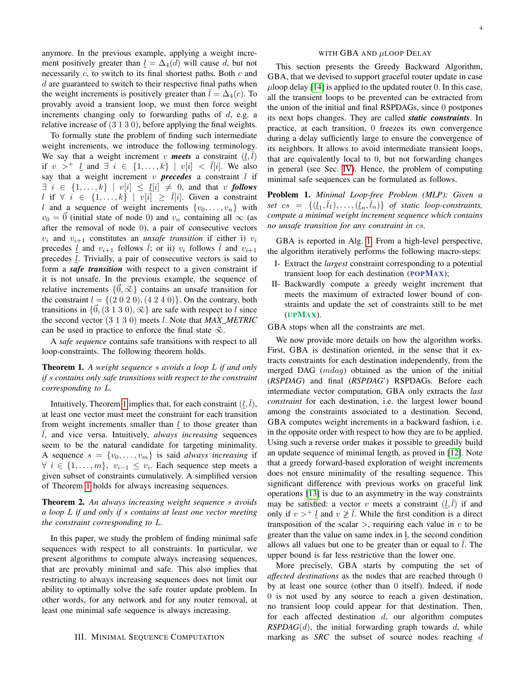anymore. In the previous example, applying a weight increment positively greater than  $l = \Delta_4(d)$  will cause d, but not necessarily  $c$ , to switch to its final shortest paths. Both  $c$  and  $d$  are guaranteed to switch to their respective final paths when the weight increments is positively greater than  $l = \Delta_4(c)$ . To provably avoid a transient loop, we must then force weight increments changing only to forwarding paths of d, e.g. a relative increase of (3 1 3 0), before applying the final weights.

To formally state the problem of finding such intermediate weight increments, we introduce the following terminology. We say that a weight increment v **meets** a constraint  $(l, \overline{l})$ if  $v >^+ l$  and  $\exists i \in \{1, ..., k\} \mid v[i] < \overline{l}[i]$ . We also say that a weight increment  $v$  **precedes** a constraint  $l$  if  $\exists i \in \{1, \ldots, k\} \mid v[i] \leq l[i] \neq 0$ , and that v **follows** l if  $\forall i \in \{1, ..., k\} \mid v[i] \geq \overline{l}[i]$ . Given a constraint l and a sequence of weight increments  $\{v_0, \ldots, v_n\}$  with  $v_0 = \overline{0}$  (initial state of node 0) and  $v_n$  containing all  $\infty$  (as after the removal of node 0), a pair of consecutive vectors  $v_i$  and  $v_{i+1}$  constitutes an *unsafe transition* if either i)  $v_i$ precedes <u>l</u> and  $v_{i+1}$  follows l; or ii)  $v_i$  follows l and  $v_{i+1}$ precedes *. Trivially, a pair of consecutive vectors is said to* form a *safe transition* with respect to a given constraint if it is not unsafe. In the previous example, the sequence of relative increments  ${0, \infty}$  contains an unsafe transition for the constraint  $l = \{(2 0 2 0), (4 2 4 0)\}\.$  On the contrary, both transitions in  $\{0, (3 \ 1 \ 3 \ 0), \vec{\infty}\}$  are safe with respect to l since the second vector (3 1 3 0) meets l. Note that *MAX\_METRIC* can be used in practice to enforce the final state  $\vec{\infty}$ .

A *safe sequence* contains safe transitions with respect to all loop-constraints. The following theorem holds.

<span id="page-3-1"></span>Theorem 1. *A weight sequence* s *avoids a loop* L *if and only if* s *contains only safe transitions with respect to the constraint corresponding to* L*.*

Intuitively, Theorem [1](#page-3-1) implies that, for each constraint  $(\underline{l}, \overline{l})$ , at least one vector must meet the constraint for each transition from weight increments smaller than  $l$  to those greater than  $\overline{l}$ , and vice versa. Intuitively, *always increasing* sequences seem to be the natural candidate for targeting minimality. A sequence  $s = \{v_0, \ldots, v_m\}$  is said *always increasing* if  $\forall i \in \{1, \ldots, m\}, v_{i-1} \leq v_i$ . Each sequence step meets a given subset of constraints cumulatively. A simplified version of Theorem [1](#page-3-1) holds for always increasing sequences.

<span id="page-3-2"></span>Theorem 2. *An always increasing weight sequence* s *avoids a loop* L *if and only if* s *contains at least one vector meeting the constraint corresponding to* L*.*

In this paper, we study the problem of finding minimal safe sequences with respect to all constraints. In particular, we present algorithms to compute always increasing sequences, that are provably minimal and safe. This also implies that restricting to always increasing sequences does not limit our ability to optimally solve the safe router update problem. In other words, for any network and for any router removal, at least one minimal safe sequence is always increasing.

#### <span id="page-3-0"></span>III. MINIMAL SEQUENCE COMPUTATION

## WITH GBA AND µLOOP DELAY

This section presents the Greedy Backward Algorithm, GBA, that we devised to support graceful router update in case  $\mu$ loop delay [\[14\]](#page-10-5) is applied to the updated router 0. In this case, all the transient loops to be prevented can be extracted from the union of the initial and final RSPDAGs, since 0 postpones its next hops changes. They are called *static constraints*. In practice, at each transition, 0 freezes its own convergence during a delay sufficiently large to ensure the convergence of its neighbors. It allows to avoid intermediate transient loops, that are equivalently local to 0, but not forwarding changes in general (see Sec. [IV\)](#page-5-0). Hence, the problem of computing minimal safe sequences can be formulated as follows.

Problem 1. *Minimal Loop-free Problem (MLP): Given a* set  $cs = \{(\underline{l}_1, \overline{l}_1), \ldots, (\underline{l}_n, \overline{l}_n)\}$  of static loop-constraints, *compute a minimal weight increment sequence which contains no unsafe transition for any constraint in* cs*.*

GBA is reported in Alg. [1.](#page-4-0) From a high-level perspective, the algorithm iteratively performs the following macro-steps:

- I- Extract the *largest* constraint corresponding to a potential transient loop for each destination (POPMAX);
- II- Backwardly compute a greedy weight increment that meets the maximum of extracted lower bound of constraints and update the set of constraints still to be met (UPMAX).

GBA stops when all the constraints are met.

We now provide more details on how the algorithm works. First, GBA is destination oriented, in the sense that it extracts constraints for each destination independently, from the merged DAG  $(mdaq)$  obtained as the union of the initial (*RSPDAG*) and final (*RSPDAG*') RSPDAGs. Before each intermediate vector computation, GBA only extracts the *last constraint* for each destination, i.e. the largest lower bound among the constraints associated to a destination. Second, GBA computes weight increments in a backward fashion, i.e. in the opposite order with respect to how they are to be applied. Using such a reverse order makes it possible to greedily build an update sequence of minimal length, as proved in [\[12\]](#page-10-3). Note that a greedy forward-based exploration of weight increments does not ensure minimality of the resulting sequence. This significant difference with previous works on graceful link operations [\[13\]](#page-10-4) is due to an asymmetry in the way constraints may be satisfied: a vector v meets a constraint  $(\underline{l}, \overline{l})$  if and only if  $v >^+ l$  and  $v \not\geq \overline{l}$ . While the first condition is a direct transposition of the scalar  $>$ , requiring each value in v to be greater than the value on same index in l, the second condition allows all values but one to be greater than or equal to  $l$ . The upper bound is far less restrictive than the lower one.

More precisely, GBA starts by computing the set of *affected destinations* as the nodes that are reached through 0 by at least one source (other than 0 itself). Indeed, if node 0 is not used by any source to reach a given destination, no transient loop could appear for that destination. Then, for each affected destination  $d$ , our algorithm computes  $RSPDAG(d)$ , the initial forwarding graph towards  $d$ , while marking as *SRC* the subset of source nodes reaching d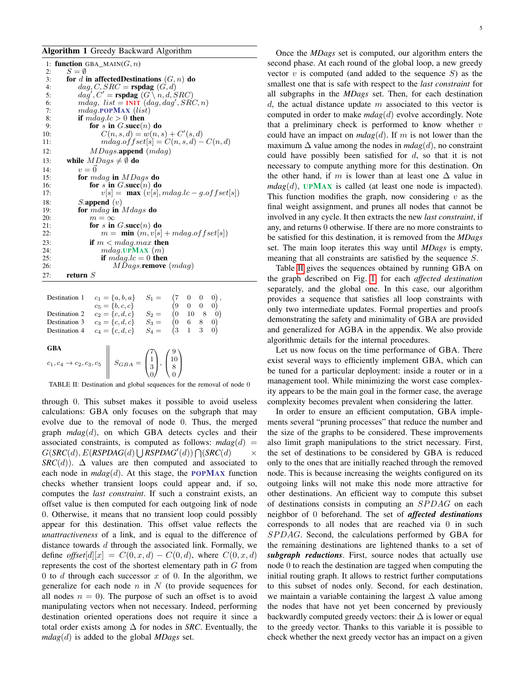# <span id="page-4-0"></span>Algorithm 1 Greedy Backward Algorithm

|     | 1: function GBA_MAIN $(G, n)$                      |
|-----|----------------------------------------------------|
| 2:  | $S = \emptyset$                                    |
| 3:  | for d in affected Destinations $(G, n)$ do         |
| 4:  | $dag, C, SRC = \text{rspdag}(G, d)$                |
| 5:  | $dag', C'$ = rspdag $(G \setminus n, d, SRC)$      |
| 6:  | mdag, $list = INT(dag, dag', SRC, n)$              |
| 7:  | $mdaq$ . POPMAX $(list)$                           |
| 8:  | if $m \cdot \text{diag}. \text{lc} > 0$ then       |
| 9:  | for s in $G.\text{succ}(n)$ do                     |
| 10: | $C(n, s, d) = w(n, s) + C'(s, d)$                  |
| 11: | $m\ddot{a}q.$ of f $set[s] = C(n, s, d) - C(n, d)$ |
| 12: | $MDags.\text{append}(mdag)$                        |
| 13: | while $MDags \neq \emptyset$ do                    |
| 14: | $v = \vec{0}$                                      |
| 15: | for $mdaq$ in $MDaqs$ do                           |
| 16: | for s in $G.\text{succ}(n)$ do                     |
| 17: | $v[s] = \max (v[s], mag.lc - g. offset[s])$        |
| 18: | $S$ . append $(v)$                                 |
| 19: | for $m$ dag in Mdags do                            |
| 20: | $m = \infty$                                       |
| 21: | for s in $G.\text{succ}(n)$ do                     |
| 22: | $m = \min(m, v s  + mdag.offset s )$               |
| 23: | if $m < m$ dag.max then                            |
| 24: | $mdaq$ .UPMAX $(m)$                                |
| 25: | if $mdag.lc = 0$ then                              |
| 26: | $MDags$ remove $(mdaq)$                            |
| 27: | return $S$                                         |
|     |                                                    |

<span id="page-4-1"></span>

| Destination 1                  | $\begin{array}{llll} c_1=\{a,b,a\}& S_1=& \begin{pmatrix} 7 & 0 & 0 & 0 \end{pmatrix},\\ c_5=\{b,c,c\}& \begin{pmatrix} 9 & 0 & 0 & 0 \end{pmatrix}\\ c_2=\{c,d,c\}& S_2=& \begin{pmatrix} 0 & 10 & 8 & 0 \end{pmatrix}\\ c_3=\{c,d,c\}& S_3=& \begin{pmatrix} 0 & 6 & 8 & 0 \end{pmatrix}\\ c_4=\{c,d,c\}& S_4=& \begin{pmatrix} 3 & 1 & 3 & 0 \end{pmatrix} \end{array}$ |                                                                      |
|--------------------------------|----------------------------------------------------------------------------------------------------------------------------------------------------------------------------------------------------------------------------------------------------------------------------------------------------------------------------------------------------------------------------|----------------------------------------------------------------------|
| Destination 2<br>Destination 3 |                                                                                                                                                                                                                                                                                                                                                                            |                                                                      |
| Destination 4                  |                                                                                                                                                                                                                                                                                                                                                                            |                                                                      |
| GBA                            | <b>GBA</b><br>$c_1, c_4 \rightarrow c_2, c_3, c_5$ $S = \begin{pmatrix} 7 \\ 1 \\ 3 \\ 0 \end{pmatrix}, \begin{pmatrix} 9 \\ 10 \\ 8 \\ 0 \end{pmatrix}$                                                                                                                                                                                                                   |                                                                      |
|                                |                                                                                                                                                                                                                                                                                                                                                                            | TABLE II: Destination and global sequences for the removal of node 0 |

through 0. This subset makes it possible to avoid useless calculations: GBA only focuses on the subgraph that may evolve due to the removal of node 0. Thus, the merged graph *mdag*(d), on which GBA detects cycles and their associated constraints, is computed as follows:  $m \, dag(d)$  $G(SRC(d), E(RSPDAG(d) \cup RSPDAG'(d)) \bigcap (SRC(d) \longrightarrow$ *SRC*(*d*)).  $\Delta$  values are then computed and associated to each node in  $m \, \text{diag}(d)$ . At this stage, the **POPMAX** function checks whether transient loops could appear and, if so, computes the *last constraint*. If such a constraint exists, an offset value is then computed for each outgoing link of node 0. Otherwise, it means that no transient loop could possibly appear for this destination. This offset value reflects the *unattractiveness* of a link, and is equal to the difference of distance towards d through the associated link. Formally, we define *offset*[d][x] =  $C(0, x, d) - C(0, d)$ , where  $C(0, x, d)$ represents the cost of the shortest elementary path in G from 0 to  $d$  through each successor  $x$  of 0. In the algorithm, we generalize for each node  $n$  in  $N$  (to provide sequences for all nodes  $n = 0$ ). The purpose of such an offset is to avoid manipulating vectors when not necessary. Indeed, performing destination oriented operations does not require it since a total order exists among  $\Delta$  for nodes in *SRC*. Eventually, the *mdag*(d) is added to the global *MDags* set.

Once the *MDags* set is computed, our algorithm enters the second phase. At each round of the global loop, a new greedy vector  $v$  is computed (and added to the sequence  $S$ ) as the smallest one that is safe with respect to the *last constraint* for all subgraphs in the *MDags* set. Then, for each destination  $d$ , the actual distance update m associated to this vector is computed in order to make *mdag*(d) evolve accordingly. Note that a preliminary check is performed to know whether  $v$ could have an impact on  $m \text{dag}(d)$ . If m is not lower than the maximum  $\Delta$  value among the nodes in  $m \, \text{diag}(d)$ , no constraint could have possibly been satisfied for  $d$ , so that it is not necessary to compute anything more for this destination. On the other hand, if m is lower than at least one  $\Delta$  value in  $m \, \text{diag}(d)$ , **UPMAX** is called (at least one node is impacted). This function modifies the graph, now considering  $v$  as the final weight assignment, and prunes all nodes that cannot be involved in any cycle. It then extracts the new *last constraint*, if any, and returns 0 otherwise. If there are no more constraints to be satisfied for this destination, it is removed from the *MDags* set. The main loop iterates this way until *MDags* is empty, meaning that all constraints are satisfied by the sequence S.

Table [II](#page-4-1) gives the sequences obtained by running GBA on the graph described on Fig. [1,](#page-1-0) for each *affected destination* separately, and the global one. In this case, our algorithm provides a sequence that satisfies all loop constraints with only two intermediate updates. Formal properties and proofs demonstrating the safety and minimality of GBA are provided and generalized for AGBA in the appendix. We also provide algorithmic details for the internal procedures.

Let us now focus on the time performance of GBA. There exist several ways to efficiently implement GBA, which can be tuned for a particular deployment: inside a router or in a management tool. While minimizing the worst case complexity appears to be the main goal in the former case, the average complexity becomes prevalent when considering the latter.

In order to ensure an efficient computation, GBA implements several "pruning processes" that reduce the number and the size of the graphs to be considered. These improvements also limit graph manipulations to the strict necessary. First, the set of destinations to be considered by GBA is reduced only to the ones that are initially reached through the removed node. This is because increasing the weights configured on its outgoing links will not make this node more attractive for other destinations. An efficient way to compute this subset of destinations consists in computing an  $SPDAG$  on each neighbor of 0 beforehand. The set of *affected destinations* corresponds to all nodes that are reached via 0 in such SPDAG. Second, the calculations performed by GBA for the remaining destinations are lightened thanks to a set of *subgraph reductions*. First, source nodes that actually use node 0 to reach the destination are tagged when computing the initial routing graph. It allows to restrict further computations to this subset of nodes only. Second, for each destination, we maintain a variable containing the largest  $\Delta$  value among the nodes that have not yet been concerned by previously backwardly computed greedy vectors: their  $\Delta$  is lower or equal to the greedy vector. Thanks to this variable it is possible to check whether the next greedy vector has an impact on a given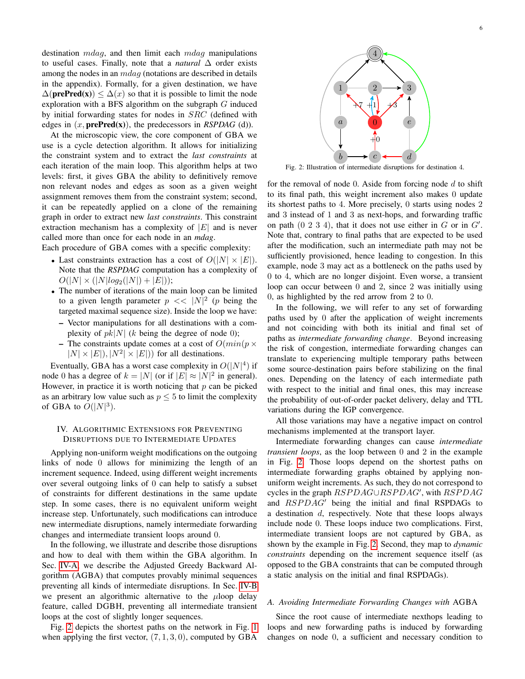destination  $mdaq$ , and then limit each  $mdaq$  manipulations to useful cases. Finally, note that a *natural* ∆ order exists among the nodes in an  $m \, da$  (notations are described in details in the appendix). Formally, for a given destination, we have  $\Delta(\text{prePred}(x)) \leq \Delta(x)$  so that it is possible to limit the node exploration with a BFS algorithm on the subgraph  $G$  induced by initial forwarding states for nodes in SRC (defined with edges in  $(x, \text{prePred}(x))$ , the predecessors in *RSPDAG* (d)).

At the microscopic view, the core component of GBA we use is a cycle detection algorithm. It allows for initializing the constraint system and to extract the *last constraints* at each iteration of the main loop. This algorithm helps at two levels: first, it gives GBA the ability to definitively remove non relevant nodes and edges as soon as a given weight assignment removes them from the constraint system; second, it can be repeatedly applied on a clone of the remaining graph in order to extract new *last constraints*. This constraint extraction mechanism has a complexity of  $|E|$  and is never called more than once for each node in an *mdag*.

Each procedure of GBA comes with a specific complexity:

- Last constraints extraction has a cost of  $O(|N| \times |E|)$ . Note that the *RSPDAG* computation has a complexity of  $O(|N| \times (|N| \log_2(|N|) + |E|));$
- The number of iterations of the main loop can be limited to a given length parameter  $p \ll |N|^2$  (p being the targeted maximal sequence size). Inside the loop we have:
	- Vector manipulations for all destinations with a complexity of  $pk|N|$  (k being the degree of node 0);
	- The constraints update comes at a cost of  $O(min(p \times$  $|N| \times |E|$ ,  $|N^2| \times |E|$ ) for all destinations.

Eventually, GBA has a worst case complexity in  $O(|N|^4)$  if node 0 has a degree of  $k = |N|$  (or if  $|E| \approx |N|^2$  in general). However, in practice it is worth noticing that  $p$  can be picked as an arbitrary low value such as  $p \leq 5$  to limit the complexity of GBA to  $O(|N|^3)$ .

# <span id="page-5-0"></span>IV. ALGORITHMIC EXTENSIONS FOR PREVENTING DISRUPTIONS DUE TO INTERMEDIATE UPDATES

Applying non-uniform weight modifications on the outgoing links of node 0 allows for minimizing the length of an increment sequence. Indeed, using different weight increments over several outgoing links of 0 can help to satisfy a subset of constraints for different destinations in the same update step. In some cases, there is no equivalent uniform weight increase step. Unfortunately, such modifications can introduce new intermediate disruptions, namely intermediate forwarding changes and intermediate transient loops around 0.

In the following, we illustrate and describe those disruptions and how to deal with them within the GBA algorithm. In Sec. [IV-A,](#page-5-1) we describe the Adjusted Greedy Backward Algorithm (AGBA) that computes provably minimal sequences preventing all kinds of intermediate disruptions. In Sec. [IV-B](#page-7-1) we present an algorithmic alternative to the  $\mu$ loop delay feature, called DGBH, preventing all intermediate transient loops at the cost of slightly longer sequences.

Fig. [2](#page-5-2) depicts the shortest paths on the network in Fig. [1](#page-1-0) when applying the first vector,  $(7, 1, 3, 0)$ , computed by GBA

<span id="page-5-2"></span>

Fig. 2: Illustration of intermediate disruptions for destination 4.

for the removal of node 0. Aside from forcing node  $d$  to shift to its final path, this weight increment also makes 0 update its shortest paths to 4. More precisely, 0 starts using nodes 2 and 3 instead of 1 and 3 as next-hops, and forwarding traffic on path  $(0 2 3 4)$ , that it does not use either in G or in  $G'$ . Note that, contrary to final paths that are expected to be used after the modification, such an intermediate path may not be sufficiently provisioned, hence leading to congestion. In this example, node 3 may act as a bottleneck on the paths used by 0 to 4, which are no longer disjoint. Even worse, a transient loop can occur between 0 and 2, since 2 was initially using 0, as highlighted by the red arrow from 2 to 0.

In the following, we will refer to any set of forwarding paths used by 0 after the application of weight increments and not coinciding with both its initial and final set of paths as *intermediate forwarding change*. Beyond increasing the risk of congestion, intermediate forwarding changes can translate to experiencing multiple temporary paths between some source-destination pairs before stabilizing on the final ones. Depending on the latency of each intermediate path with respect to the initial and final ones, this may increase the probability of out-of-order packet delivery, delay and TTL variations during the IGP convergence.

All those variations may have a negative impact on control mechanisms implemented at the transport layer.

Intermediate forwarding changes can cause *intermediate transient loops*, as the loop between 0 and 2 in the example in Fig. [2.](#page-5-2) Those loops depend on the shortest paths on intermediate forwarding graphs obtained by applying nonuniform weight increments. As such, they do not correspond to cycles in the graph RSPDAG∪RSPDAG', with RSPDAG and  $RSPDAG'$  being the initial and final RSPDAGs to a destination d, respectively. Note that these loops always include node 0. These loops induce two complications. First, intermediate transient loops are not captured by GBA, as shown by the example in Fig. [2.](#page-5-2) Second, they map to *dynamic constraints* depending on the increment sequence itself (as opposed to the GBA constraints that can be computed through a static analysis on the initial and final RSPDAGs).

# <span id="page-5-1"></span>*A. Avoiding Intermediate Forwarding Changes with* AGBA

Since the root cause of intermediate nexthops leading to loops and new forwarding paths is induced by forwarding changes on node 0, a sufficient and necessary condition to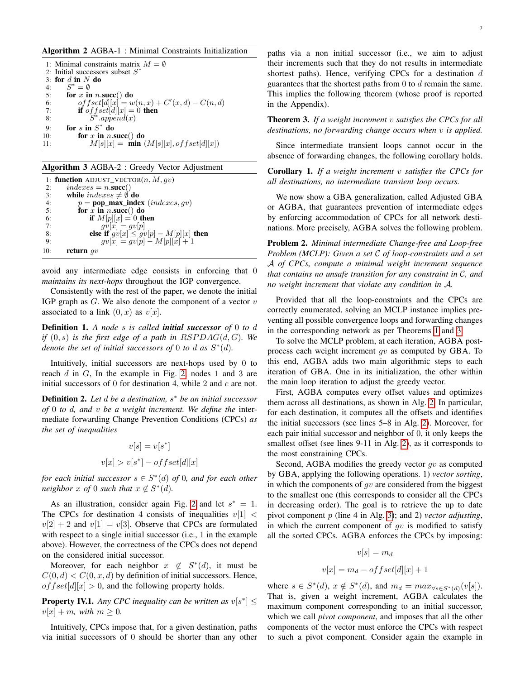## <span id="page-6-1"></span>Algorithm 2 AGBA-1 : Minimal Constraints Initialization

1: Minimal constraints matrix  $M = \emptyset$ 2: Initial successors subset  $S^*$ 3: for  $d$  in  $N$  do 4:  $S^* = \emptyset$ 5: for x in  $n.\text{succ}()$  do 6:  $offset[d][x] = w(n,x) + C'(x,d) - C(n,d)$ 7: **if**  $\text{ }$ *of f set*[d][x] = 0 **then** 8:  $S^*.append(x)$ 9: for s in  $S^*$  do 10: for x in  $n.\text{succ}()$  do 11:  $M[s][x] = \min(M[s][x], offset[d][x])$ 

#### <span id="page-6-2"></span>Algorithm 3 AGBA-2 : Greedy Vector Adjustment

1: **function** ADJUST\_VECTOR(*n*, *M*, *gv*)<br>2: *indexes* = *n*.**succ**() 2:  $indexes = n.\textbf{succ}()$ <br>3: **while**  $indexes \neq \emptyset$ 3: while  $indexes \neq \emptyset$  do<br>4:  $p = pop\_max\_ind$ 4:  $p = pop_max_index (indexes, gv)$ <br>5: **for** x **in** n. succ() **do** for  $\bar{x}$  in n.succ() do 6: **if**  $M[p][x] = 0$  then<br>7:  $av[x] = av[n]$ 7:  $gv[x] = gv[p]$ 8: **else if**  $gv[x] \leq gv[p] - M[p][x]$  then 9:  $gv[x] = gv[p] - M[p][x] + 1$ 10: return  $gv$ 

avoid any intermediate edge consists in enforcing that 0 *maintains its next-hops* throughout the IGP convergence.

Consistently with the rest of the paper, we denote the initial IGP graph as  $G$ . We also denote the component of a vector  $v$ associated to a link  $(0, x)$  as  $v[x]$ .

Definition 1. *A node* s *is called initial successor of* 0 *to* d *if*  $(0, s)$  *is the first edge of a path in RSPDAG(d, G). We denote the set of initial successors of* 0 *to d as*  $S^*(d)$ *.* 

Intuitively, initial successors are next-hops used by 0 to reach  $d$  in  $G$ , In the example in Fig. [2,](#page-5-2) nodes 1 and 3 are initial successors of  $0$  for destination 4, while  $2$  and  $c$  are not.

Definition 2. *Let* d *be a destination,* s <sup>∗</sup> *be an initial successor of* 0 *to* d*, and* v *be a weight increment. We define the* intermediate forwarding Change Prevention Conditions (CPCs) *as the set of inequalities*

$$
v[s] = v[s^*]
$$
  

$$
v[x] > v[s^*] - offset[d][x]
$$

*for each initial successor* s ∈ S ∗ (d) *of* 0*, and for each other neighbor*  $x$  *of* 0 *such that*  $x \notin S^*(d)$ *.* 

As an illustration, consider again Fig. [2](#page-5-2) and let  $s^* = 1$ . The CPCs for destination 4 consists of inequalities  $v[1]$  <  $v[2] + 2$  and  $v[1] = v[3]$ . Observe that CPCs are formulated with respect to a single initial successor (i.e., 1 in the example above). However, the correctness of the CPCs does not depend on the considered initial successor.

Moreover, for each neighbor  $x \notin S^*(d)$ , it must be  $C(0, d) < C(0, x, d)$  by definition of initial successors. Hence, of  $fset[d][x] > 0$ , and the following property holds.

**Property IV.1.** Any CPC inequality can be written as  $v[s^*] \leq$  $v[x] + m$ , with  $m \geq 0$ .

Intuitively, CPCs impose that, for a given destination, paths via initial successors of 0 should be shorter than any other

<span id="page-6-0"></span>Theorem 3. *If a weight increment* v *satisfies the CPCs for all destinations, no forwarding change occurs when* v *is applied.*

Since intermediate transient loops cannot occur in the absence of forwarding changes, the following corollary holds.

Corollary 1. *If a weight increment* v *satisfies the CPCs for all destinations, no intermediate transient loop occurs.*

We now show a GBA generalization, called Adjusted GBA or AGBA, that guarantees prevention of intermediate edges by enforcing accommodation of CPCs for all network destinations. More precisely, AGBA solves the following problem.

Problem 2. *Minimal intermediate Change-free and Loop-free Problem (MCLP): Given a set* C *of loop-constraints and a set* A *of CPCs, compute a minimal weight increment sequence that contains no unsafe transition for any constraint in* C*, and no weight increment that violate any condition in* A*.*

Provided that all the loop-constraints and the CPCs are correctly enumerated, solving an MCLP instance implies preventing all possible convergence loops and forwarding changes in the corresponding network as per Theorems [1](#page-3-1) and [3.](#page-6-0)

To solve the MCLP problem, at each iteration, AGBA postprocess each weight increment gv as computed by GBA. To this end, AGBA adds two main algorithmic steps to each iteration of GBA. One in its initialization, the other within the main loop iteration to adjust the greedy vector.

First, AGBA computes every offset values and optimizes them across all destinations, as shown in Alg. [2.](#page-6-1) In particular, for each destination, it computes all the offsets and identifies the initial successors (see lines 5–8 in Alg. [2\)](#page-6-1). Moreover, for each pair initial successor and neighbor of 0, it only keeps the smallest offset (see lines 9-11 in Alg. [2\)](#page-6-1), as it corresponds to the most constraining CPCs.

Second, AGBA modifies the greedy vector  $qv$  as computed by GBA, applying the following operations. 1) *vector sorting*, in which the components of  $gv$  are considered from the biggest to the smallest one (this corresponds to consider all the CPCs in decreasing order). The goal is to retrieve the up to date pivot component p (line 4 in Alg. [3\)](#page-6-2); and 2) *vector adjusting*, in which the current component of  $gv$  is modified to satisfy all the sorted CPCs. AGBA enforces the CPCs by imposing:

$$
v[s] = m_d
$$

$$
v[x] = m_d - offset[d][x] + 1
$$

where  $s \in S^*(d)$ ,  $x \notin S^*(d)$ , and  $m_d = max_{\forall s \in S^*(d)}(v[s])$ . That is, given a weight increment, AGBA calculates the maximum component corresponding to an initial successor, which we call *pivot component*, and imposes that all the other components of the vector must enforce the CPCs with respect to such a pivot component. Consider again the example in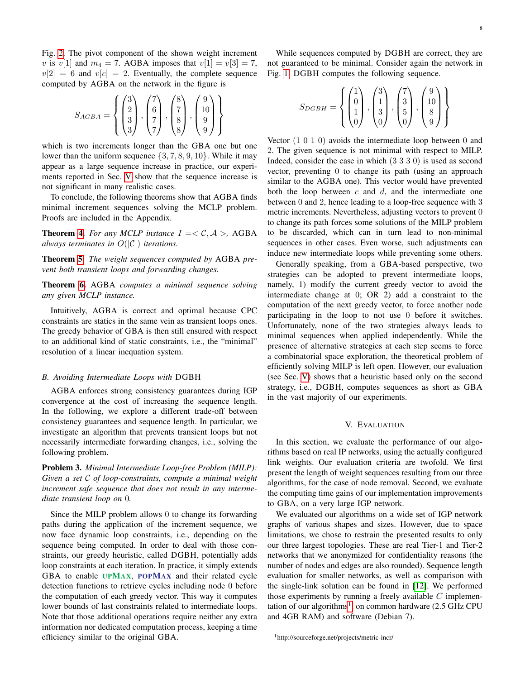Fig. [2.](#page-5-2) The pivot component of the shown weight increment v is  $v[1]$  and  $m_4 = 7$ . AGBA imposes that  $v[1] = v[3] = 7$ ,  $v[2] = 6$  and  $v[c] = 2$ . Eventually, the complete sequence computed by AGBA on the network in the figure is

$$
S_{AGBA} = \left\{ \begin{pmatrix} 3 \\ 2 \\ 3 \\ 3 \end{pmatrix}, \begin{pmatrix} 7 \\ 6 \\ 7 \\ 7 \end{pmatrix}, \begin{pmatrix} 8 \\ 7 \\ 8 \\ 8 \end{pmatrix}, \begin{pmatrix} 9 \\ 10 \\ 9 \\ 9 \end{pmatrix} \right\}
$$

which is two increments longer than the GBA one but one lower than the uniform sequence  $\{3, 7, 8, 9, 10\}$ . While it may appear as a large sequence increase in practice, our experiments reported in Sec. [V](#page-7-0) show that the sequence increase is not significant in many realistic cases.

To conclude, the following theorems show that AGBA finds minimal increment sequences solving the MCLP problem. Proofs are included in the Appendix.

**Theorem [4.](#page-12-0)** For any MCLP instance  $I = \langle C, A \rangle$ , AGBA *always terminates in*  $O(|\mathcal{C}|)$  *iterations.* 

Theorem [5.](#page-12-1) *The weight sequences computed by* AGBA *prevent both transient loops and forwarding changes.*

Theorem [6.](#page-13-0) AGBA *computes a minimal sequence solving any given MCLP instance.*

Intuitively, AGBA is correct and optimal because CPC constraints are statics in the same vein as transient loops ones. The greedy behavior of GBA is then still ensured with respect to an additional kind of static constraints, i.e., the "minimal" resolution of a linear inequation system.

# <span id="page-7-1"></span>*B. Avoiding Intermediate Loops with* DGBH

AGBA enforces strong consistency guarantees during IGP convergence at the cost of increasing the sequence length. In the following, we explore a different trade-off between consistency guarantees and sequence length. In particular, we investigate an algorithm that prevents transient loops but not necessarily intermediate forwarding changes, i.e., solving the following problem.

Problem 3. *Minimal Intermediate Loop-free Problem (MILP): Given a set* C *of loop-constraints, compute a minimal weight increment safe sequence that does not result in any intermediate transient loop on* 0*.*

Since the MILP problem allows 0 to change its forwarding paths during the application of the increment sequence, we now face dynamic loop constraints, i.e., depending on the sequence being computed. In order to deal with those constraints, our greedy heuristic, called DGBH, potentially adds loop constraints at each iteration. In practice, it simply extends GBA to enable UPMAX, POPMAX and their related cycle detection functions to retrieve cycles including node 0 before the computation of each greedy vector. This way it computes lower bounds of last constraints related to intermediate loops. Note that those additional operations require neither any extra information nor dedicated computation process, keeping a time efficiency similar to the original GBA.

While sequences computed by DGBH are correct, they are not guaranteed to be minimal. Consider again the network in Fig. [1.](#page-1-0) DGBH computes the following sequence.

$$
S_{DGBH} = \left\{ \begin{pmatrix} 1 \\ 0 \\ 1 \\ 0 \end{pmatrix}, \begin{pmatrix} 3 \\ 1 \\ 3 \\ 0 \end{pmatrix}, \begin{pmatrix} 7 \\ 3 \\ 5 \\ 0 \end{pmatrix}, \begin{pmatrix} 9 \\ 10 \\ 8 \\ 9 \end{pmatrix} \right\}
$$

Vector (1 0 1 0) avoids the intermediate loop between 0 and 2. The given sequence is not minimal with respect to MILP. Indeed, consider the case in which (3 3 3 0) is used as second vector, preventing 0 to change its path (using an approach similar to the AGBA one). This vector would have prevented both the loop between  $c$  and  $d$ , and the intermediate one between 0 and 2, hence leading to a loop-free sequence with 3 metric increments. Nevertheless, adjusting vectors to prevent 0 to change its path forces some solutions of the MILP problem to be discarded, which can in turn lead to non-minimal sequences in other cases. Even worse, such adjustments can induce new intermediate loops while preventing some others.

Generally speaking, from a GBA-based perspective, two strategies can be adopted to prevent intermediate loops, namely, 1) modify the current greedy vector to avoid the intermediate change at 0; OR 2) add a constraint to the computation of the next greedy vector, to force another node participating in the loop to not use 0 before it switches. Unfortunately, none of the two strategies always leads to minimal sequences when applied independently. While the presence of alternative strategies at each step seems to force a combinatorial space exploration, the theoretical problem of efficiently solving MILP is left open. However, our evaluation (see Sec. [V\)](#page-7-0) shows that a heuristic based only on the second strategy, i.e., DGBH, computes sequences as short as GBA in the vast majority of our experiments.

# V. EVALUATION

<span id="page-7-0"></span>In this section, we evaluate the performance of our algorithms based on real IP networks, using the actually configured link weights. Our evaluation criteria are twofold. We first present the length of weight sequences resulting from our three algorithms, for the case of node removal. Second, we evaluate the computing time gains of our implementation improvements to GBA, on a very large IGP network.

We evaluated our algorithms on a wide set of IGP network graphs of various shapes and sizes. However, due to space limitations, we chose to restrain the presented results to only our three largest topologies. These are real Tier-1 and Tier-2 networks that we anonymized for confidentiality reasons (the number of nodes and edges are also rounded). Sequence length evaluation for smaller networks, as well as comparison with the single-link solution can be found in [\[12\]](#page-10-3). We performed those experiments by running a freely available  $C$  implemen-tation of our algorithms<sup>[1](#page-7-2)</sup>, on common hardware  $(2.5 \text{ GHz CPU})$ and 4GB RAM) and software (Debian 7).

<span id="page-7-2"></span><sup>1</sup>http://sourceforge.net/projects/metric-incr/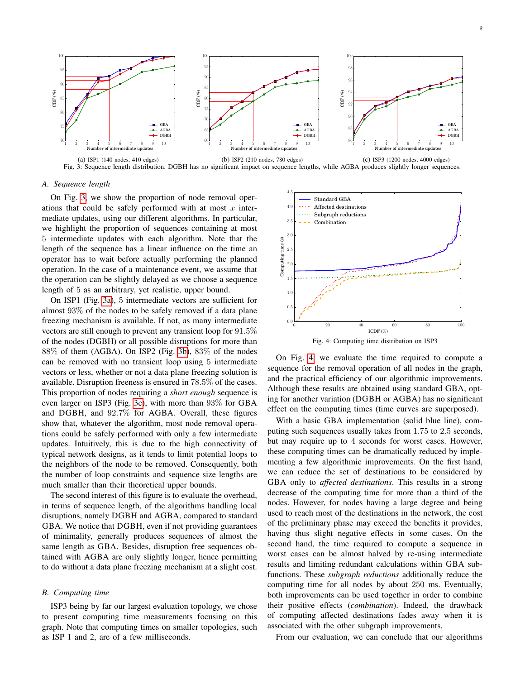<span id="page-8-0"></span>

Fig. 3: Sequence length distribution. DGBH has no significant impact on sequence lengths, while AGBA produces slightly longer sequences.

# *A. Sequence length*

On Fig. [3,](#page-8-0) we show the proportion of node removal operations that could be safely performed with at most  $x$  intermediate updates, using our different algorithms. In particular, we highlight the proportion of sequences containing at most 5 intermediate updates with each algorithm. Note that the length of the sequence has a linear influence on the time an operator has to wait before actually performing the planned operation. In the case of a maintenance event, we assume that the operation can be slightly delayed as we choose a sequence length of 5 as an arbitrary, yet realistic, upper bound.

On ISP1 (Fig. [3a\)](#page-8-0), 5 intermediate vectors are sufficient for almost 93% of the nodes to be safely removed if a data plane freezing mechanism is available. If not, as many intermediate vectors are still enough to prevent any transient loop for 91.5% of the nodes (DGBH) or all possible disruptions for more than 88% of them (AGBA). On ISP2 (Fig. [3b\)](#page-8-0), 83% of the nodes can be removed with no transient loop using 5 intermediate vectors or less, whether or not a data plane freezing solution is available. Disruption freeness is ensured in 78.5% of the cases. This proportion of nodes requiring a *short enough* sequence is even larger on ISP3 (Fig. [3c\)](#page-8-0), with more than 93% for GBA and DGBH, and 92.7% for AGBA. Overall, these figures show that, whatever the algorithm, most node removal operations could be safely performed with only a few intermediate updates. Intuitively, this is due to the high connectivity of typical network designs, as it tends to limit potential loops to the neighbors of the node to be removed. Consequently, both the number of loop constraints and sequence size lengths are much smaller than their theoretical upper bounds.

The second interest of this figure is to evaluate the overhead, in terms of sequence length, of the algorithms handling local disruptions, namely DGBH and AGBA, compared to standard GBA. We notice that DGBH, even if not providing guarantees of minimality, generally produces sequences of almost the same length as GBA. Besides, disruption free sequences obtained with AGBA are only slightly longer, hence permitting to do without a data plane freezing mechanism at a slight cost.

# *B. Computing time*

ISP3 being by far our largest evaluation topology, we chose to present computing time measurements focusing on this graph. Note that computing times on smaller topologies, such as ISP 1 and 2, are of a few milliseconds.

<span id="page-8-1"></span>

On Fig. [4,](#page-8-1) we evaluate the time required to compute a sequence for the removal operation of all nodes in the graph, and the practical efficiency of our algorithmic improvements. Although these results are obtained using standard GBA, opting for another variation (DGBH or AGBA) has no significant effect on the computing times (time curves are superposed).

With a basic GBA implementation (solid blue line), computing such sequences usually takes from 1.75 to 2.5 seconds, but may require up to 4 seconds for worst cases. However, these computing times can be dramatically reduced by implementing a few algorithmic improvements. On the first hand, we can reduce the set of destinations to be considered by GBA only to *affected destinations*. This results in a strong decrease of the computing time for more than a third of the nodes. However, for nodes having a large degree and being used to reach most of the destinations in the network, the cost of the preliminary phase may exceed the benefits it provides, having thus slight negative effects in some cases. On the second hand, the time required to compute a sequence in worst cases can be almost halved by re-using intermediate results and limiting redundant calculations within GBA subfunctions. These *subgraph reductions* additionally reduce the computing time for all nodes by about 250 ms. Eventually, both improvements can be used together in order to combine their positive effects (*combination*). Indeed, the drawback of computing affected destinations fades away when it is associated with the other subgraph improvements.

From our evaluation, we can conclude that our algorithms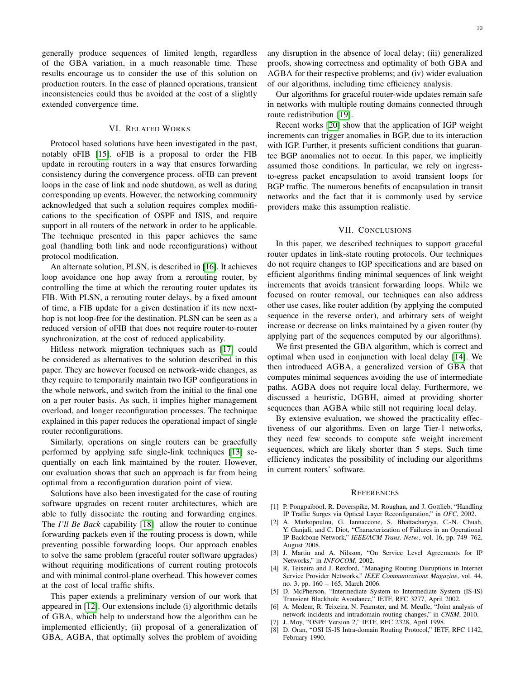generally produce sequences of limited length, regardless of the GBA variation, in a much reasonable time. These results encourage us to consider the use of this solution on production routers. In the case of planned operations, transient inconsistencies could thus be avoided at the cost of a slightly extended convergence time.

# VI. RELATED WORKS

<span id="page-9-8"></span>Protocol based solutions have been investigated in the past, notably oFIB [\[15\]](#page-10-6). oFIB is a proposal to order the FIB update in rerouting routers in a way that ensures forwarding consistency during the convergence process. oFIB can prevent loops in the case of link and node shutdown, as well as during corresponding up events. However, the networking community acknowledged that such a solution requires complex modifications to the specification of OSPF and ISIS, and require support in all routers of the network in order to be applicable. The technique presented in this paper achieves the same goal (handling both link and node reconfigurations) without protocol modification.

An alternate solution, PLSN, is described in [\[16\]](#page-10-7). It achieves loop avoidance one hop away from a rerouting router, by controlling the time at which the rerouting router updates its FIB. With PLSN, a rerouting router delays, by a fixed amount of time, a FIB update for a given destination if its new nexthop is not loop-free for the destination. PLSN can be seen as a reduced version of oFIB that does not require router-to-router synchronization, at the cost of reduced applicability.

Hitless network migration techniques such as [\[17\]](#page-10-8) could be considered as alternatives to the solution described in this paper. They are however focused on network-wide changes, as they require to temporarily maintain two IGP configurations in the whole network, and switch from the initial to the final one on a per router basis. As such, it implies higher management overload, and longer reconfiguration processes. The technique explained in this paper reduces the operational impact of single router reconfigurations.

Similarly, operations on single routers can be gracefully performed by applying safe single-link techniques [\[13\]](#page-10-4) sequentially on each link maintained by the router. However, our evaluation shows that such an approach is far from being optimal from a reconfiguration duration point of view.

Solutions have also been investigated for the case of routing software upgrades on recent router architectures, which are able to fully dissociate the routing and forwarding engines. The *I'll Be Back* capability [\[18\]](#page-10-9) allow the router to continue forwarding packets even if the routing process is down, while preventing possible forwarding loops. Our approach enables to solve the same problem (graceful router software upgrades) without requiring modifications of current routing protocols and with minimal control-plane overhead. This however comes at the cost of local traffic shifts.

This paper extends a preliminary version of our work that appeared in [\[12\]](#page-10-3). Our extensions include (i) algorithmic details of GBA, which help to understand how the algorithm can be implemented efficiently; (ii) proposal of a generalization of GBA, AGBA, that optimally solves the problem of avoiding any disruption in the absence of local delay; (iii) generalized proofs, showing correctness and optimality of both GBA and AGBA for their respective problems; and (iv) wider evaluation of our algorithms, including time efficiency analysis.

Our algorithms for graceful router-wide updates remain safe in networks with multiple routing domains connected through route redistribution [\[19\]](#page-10-10).

Recent works [\[20\]](#page-10-11) show that the application of IGP weight increments can trigger anomalies in BGP, due to its interaction with IGP. Further, it presents sufficient conditions that guarantee BGP anomalies not to occur. In this paper, we implicitly assumed those conditions. In particular, we rely on ingressto-egress packet encapsulation to avoid transient loops for BGP traffic. The numerous benefits of encapsulation in transit networks and the fact that it is commonly used by service providers make this assumption realistic.

# VII. CONCLUSIONS

<span id="page-9-9"></span>In this paper, we described techniques to support graceful router updates in link-state routing protocols. Our techniques do not require changes to IGP specifications and are based on efficient algorithms finding minimal sequences of link weight increments that avoids transient forwarding loops. While we focused on router removal, our techniques can also address other use cases, like router addition (by applying the computed sequence in the reverse order), and arbitrary sets of weight increase or decrease on links maintained by a given router (by applying part of the sequences computed by our algorithms).

We first presented the GBA algorithm, which is correct and optimal when used in conjunction with local delay [\[14\]](#page-10-5). We then introduced AGBA, a generalized version of GBA that computes minimal sequences avoiding the use of intermediate paths. AGBA does not require local delay. Furthermore, we discussed a heuristic, DGBH, aimed at providing shorter sequences than AGBA while still not requiring local delay.

By extensive evaluation, we showed the practicality effectiveness of our algorithms. Even on large Tier-1 networks, they need few seconds to compute safe weight increment sequences, which are likely shorter than 5 steps. Such time efficiency indicates the possibility of including our algorithms in current routers' software.

#### **REFERENCES**

- <span id="page-9-0"></span>[1] P. Pongpaibool, R. Doverspike, M. Roughan, and J. Gottlieb, "Handling IP Traffic Surges via Optical Layer Reconfiguration," in *OFC*, 2002.
- <span id="page-9-1"></span>[2] A. Markopoulou, G. Iannaccone, S. Bhattacharyya, C.-N. Chuah, Y. Ganjali, and C. Diot, "Characterization of Failures in an Operational IP Backbone Network," *IEEE/ACM Trans. Netw.*, vol. 16, pp. 749–762, August 2008.
- <span id="page-9-2"></span>[3] J. Martin and A. Nilsson, "On Service Level Agreements for IP Networks," in *INFOCOM*, 2002.
- <span id="page-9-3"></span>[4] R. Teixeira and J. Rexford, "Managing Routing Disruptions in Internet Service Provider Networks," *IEEE Communications Magazine*, vol. 44, no. 3, pp. 160 – 165, March 2006.
- <span id="page-9-4"></span>[5] D. McPherson, "Intermediate System to Intermediate System (IS-IS) Transient Blackhole Avoidance," IETF, RFC 3277, April 2002.
- <span id="page-9-5"></span>[6] A. Medem, R. Teixeira, N. Feamster, and M. Meulle, "Joint analysis of network incidents and intradomain routing changes," in *CNSM*, 2010.
- <span id="page-9-6"></span>[7] J. Moy, "OSPF Version 2," IETF, RFC 2328, April 1998.
- <span id="page-9-7"></span>[8] D. Oran, "OSI IS-IS Intra-domain Routing Protocol," IETF, RFC 1142, February 1990.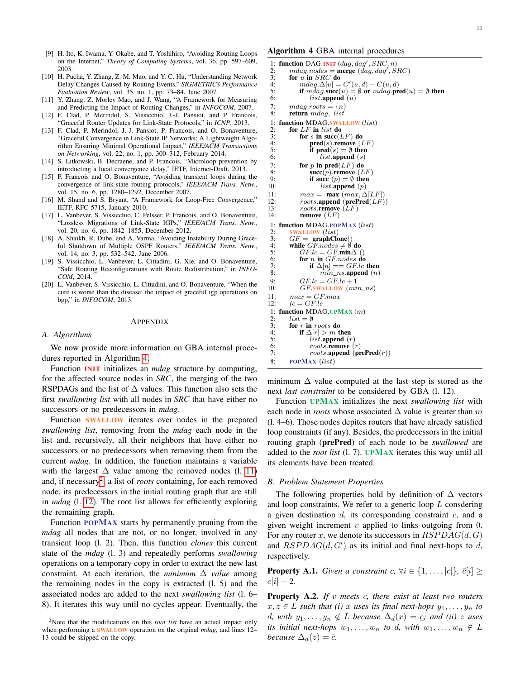- <span id="page-10-0"></span>[9] H. Ito, K. Iwama, Y. Okabe, and T. Yoshihiro, "Avoiding Routing Loops on the Internet," *Theory of Computing Systems*, vol. 36, pp. 597–609, 2003.
- <span id="page-10-1"></span>[10] H. Pucha, Y. Zhang, Z. M. Mao, and Y. C. Hu, "Understanding Network Delay Changes Caused by Routing Events," *SIGMETRICS Performance Evaluation Review*, vol. 35, no. 1, pp. 73–84, June 2007.
- <span id="page-10-2"></span>[11] Y. Zhang, Z. Morley Mao, and J. Wang, "A Framework for Measuring and Predicting the Impact of Routing Changes," in *INFOCOM*, 2007.
- <span id="page-10-3"></span>[12] F. Clad, P. Merindol, S. Vissicchio, J.-J. Pansiot, and P. Francois, "Graceful Router Updates for Link-State Protocols," in *ICNP*, 2013.
- <span id="page-10-4"></span>[13] F. Clad, P. Merindol, J.-J. Pansiot, P. Francois, and O. Bonaventure, "Graceful Convergence in Link-State IP Networks: A Lightweight Algorithm Ensuring Minimal Operational Impact," *IEEE/ACM Transactions on Networking*, vol. 22, no. 1, pp. 300–312, February 2014.
- <span id="page-10-5"></span>[14] S. Litkowski, B. Decraene, and P. Francois, "Microloop prevention by introducting a local convergence delay," IETF, Internet-Draft, 2013.
- <span id="page-10-6"></span>[15] P. Francois and O. Bonaventure, "Avoiding transient loops during the convergence of link-state routing protocols," *IEEE/ACM Trans. Netw.*, vol. 15, no. 6, pp. 1280–1292, December 2007.
- <span id="page-10-7"></span>[16] M. Shand and S. Bryant, "A Framework for Loop-Free Convergence," IETF, RFC 5715, January 2010.
- <span id="page-10-8"></span>[17] L. Vanbever, S. Vissicchio, C. Pelsser, P. Francois, and O. Bonaventure, "Lossless Migrations of Link-State IGPs," *IEEE/ACM Trans. Netw.*, vol. 20, no. 6, pp. 1842–1855, December 2012.
- <span id="page-10-9"></span>[18] A. Shaikh, R. Dube, and A. Varma, "Avoiding Instability During Graceful Shutdown of Multiple OSPF Routers," *IEEE/ACM Trans. Netw.*, vol. 14, no. 3, pp. 532–542, June 2006.
- <span id="page-10-10"></span>[19] S. Vissicchio, L. Vanbever, L. Cittadini, G. Xie, and O. Bonaventure, "Safe Routing Reconfigurations with Route Redistribution," in *INFO-COM*, 2014.
- <span id="page-10-11"></span>[20] L. Vanbever, S. Vissicchio, L. Cittadini, and O. Bonaventure, "When the cure is worse than the disease: the impact of graceful igp operations on bgp," in *INFOCOM*, 2013.

#### APPENDIX

#### *A. Algorithms*

We now provide more information on GBA internal procedures reported in Algorithm [4.](#page-10-12)

Function INIT initializes an *mdag* structure by computing, for the affected source nodes in *SRC*, the merging of the two RSPDAGs and the list of  $\Delta$  values. This function also sets the first *swallowing list* with all nodes in *SRC* that have either no successors or no predecessors in *mdag*.

Function SWALLOW iterates over nodes in the prepared *swallowing list*, removing from the *mdag* each node in the list and, recursively, all their neighbors that have either no successors or no predecessors when removing them from the current *mdag*. In addition, the function maintains a variable with the largest  $\Delta$  value among the removed nodes (l. [11\)](#page-10-12) and, if necessary<sup>[2](#page-10-13)</sup>, a list of *roots* containing, for each removed node, its predecessors in the initial routing graph that are still in *mdag* (l. [12\)](#page-10-12). The root list allows for efficiently exploring the remaining graph.

Function POPMAX starts by permanently pruning from the *mdag* all nodes that are not, or no longer, involved in any transient loop (l. 2). Then, this function *clones* this current state of the *mdag* (l. 3) and repeatedly performs *swallowing* operations on a temporary copy in order to extract the new last constraint. At each iteration, the *minimum*  $\Delta$  *value* among the remaining nodes in the copy is extracted (l. 5) and the associated nodes are added to the next *swallowing list* (l. 6– 8). It iterates this way until no cycles appear. Eventually, the

# <span id="page-10-12"></span>Algorithm 4 GBA internal procedures

```
1: function DAG.INIT (dag, dag', SRC, n)<br>2: mdag.nodes = merge (dag, dag', SRC)3: for \vec{u} in SRC do<br>4: mdag.\Delta[u] =<br>5: if mdag.\text{succ}(4: mdag.\Delta[u] = C'(u, d) - C(u, d)if m\ddot{a}q succ(u) = \emptyset or m\ddot{a}q pred(u) = \emptyset then
 6: list.append(u)7: mdag.roots = \{n\}<br>8: return mdag, list
          return mdag, list
 1: function MDAG.SWALLOW (list)<br>2: for LF in list do
 2: for LF in list do<br>3: for s in succ(I
 3: for s in succ(LF) do<br>4: pred(s).remove(1)
 4: pred(s).remove (LF)<br>5: if \text{pred}(s) = \emptyset then
                   if pred(s) = \emptyset then
 6: list.append(s)7: for p in pred(LF) do succ(p) remove (LF)8: \sec(p).remove (LF)<br>9: if succ (n) = \emptyset then
9: if succ (p) = \emptyset then<br>10: list.append (p)list.append(p)11: max = max (max, \Delta[LF<br>12: roots.append (prePred(L)12: roots.append (prePred(LF'))<br>13: rootsremove (LF)13: roots.\overrightarrow{remove} (\overleftarrow{L}F)<br>14: remove (LF)remove (LF)1: function MDAG.POPMAX (list)<br>2: SWALLOW (list)2: SWALLOW (list)<br>3: GF = \text{graph}Cl3: GF = \text{graphCione}()<br>4: while GF~nodes \neq \emptyset do
 5: GF.lc = GF.min \Delta ()<br>6: for n in GF.nodes do
 6: for n in GF.nodes do<br>7: if \Delta[n] = GFLc7: if \Delta[n] == GFLc then<br>8: min ns.append (n)min\_ns.append(n)9: GF.lc = GF.lc + 110: GFSWALLOW (min_ns)11: max = GF.max12: lc = GFLc1: function MDAG.UPMAX (m)<br>2: list = \emptyset2: list = \emptyset<br>3: for r in
 3: for r in roots do<br>4: if \Delta[r] > m t
 4: if \Delta[r] > m then<br>5: iist.append (i
                   list.append(r)6: rootsremove (r)<br>7: roots.append (pr
                   roots.append (prePred(r))
 8: POPMAX (list)
```
minimum  $\Delta$  value computed at the last step is stored as the next *last constraint* to be considered by GBA (l. 12).

Function UPMAX initializes the next *swallowing list* with each node in *roots* whose associated  $\Delta$  value is greater than m (l. 4–6). Those nodes depitcs routers that have already satisfied loop constraints (if any). Besides, the predecessors in the initial routing graph (prePred) of each node to be *swallowed* are added to the *root list* (l. 7). UPMAX iterates this way until all its elements have been treated.

## *B. Problem Statement Properties*

The following properties hold by definition of  $\Delta$  vectors and loop constraints. We refer to a generic loop  $L$  consdering a given destination  $d$ , its corresponding constraint  $c$ , and a given weight increment  $v$  applied to links outgoing from 0. For any router x, we denote its successors in  $RSPDAG(d, G)$ and  $RSPDAG(d, G')$  as its initial and final next-hops to d, respectively.

<span id="page-10-15"></span>**Property A.1.** *Given a constraint*  $c, \forall i \in \{1, ..., |c|\}, \bar{c}[i] \geq 0$  $c[i] + 2.$ 

<span id="page-10-14"></span>Property A.2. *If* v *meets* c*, there exist at least two routers*  $x, z \in L$  *such that (i)* x *uses its final next-hops*  $y_1, \ldots, y_n$  *to* d, with  $y_1, \ldots, y_n \notin L$  *because*  $\Delta_d(x) = c$ *; and (ii)* z uses *its initial next-hops*  $w_1, \ldots, w_n$  *to d,* with  $w_1, \ldots, w_n \notin L$ *because*  $\Delta_d(z) = \bar{c}$ *.* 

<span id="page-10-13"></span><sup>2</sup>Note that the modifications on this *root list* have an actual impact only when performing a SWALLOW operation on the original *mdag*, and lines 12– 13 could be skipped on the copy.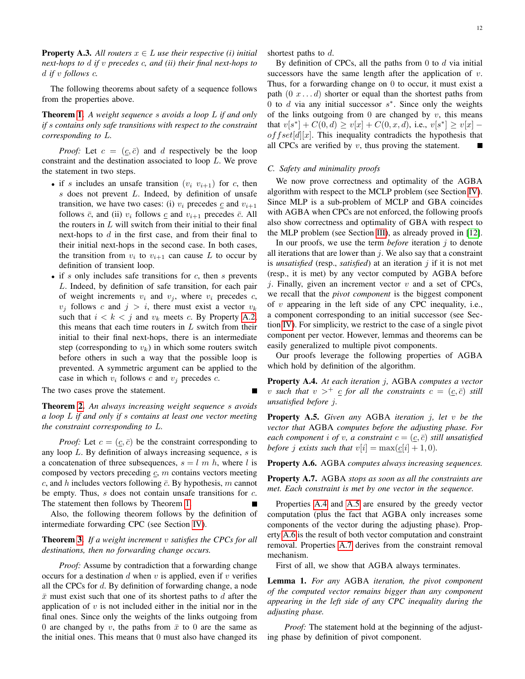**Property A.3.** All routers  $x \in L$  use their respective (i) initial *next-hops to* d *if* v *precedes* c*, and (ii) their final next-hops to* d *if* v *follows* c*.*

The following theorems about safety of a sequence follows from the properties above.

Theorem [1.](#page-3-1) *A weight sequence* s *avoids a loop* L *if and only if* s *contains only safe transitions with respect to the constraint corresponding to* L*.*

*Proof:* Let  $c = (c, \bar{c})$  and d respectively be the loop constraint and the destination associated to loop L. We prove the statement in two steps.

- if s includes an unsafe transition  $(v_i, v_{i+1})$  for c, then  $s$  does not prevent  $L$ . Indeed, by definition of unsafe transition, we have two cases: (i)  $v_i$  precedes  $\mathfrak{c}$  and  $v_{i+1}$ follows  $\bar{c}$ , and (ii)  $v_i$  follows  $\underline{c}$  and  $v_{i+1}$  precedes  $\bar{c}$ . All the routers in  $L$  will switch from their initial to their final next-hops to  $d$  in the first case, and from their final to their initial next-hops in the second case. In both cases, the transition from  $v_i$  to  $v_{i+1}$  can cause L to occur by definition of transient loop.
- if s only includes safe transitions for c, then s prevents L. Indeed, by definition of safe transition, for each pair of weight increments  $v_i$  and  $v_j$ , where  $v_i$  precedes  $c$ ,  $v_j$  follows c and  $j > i$ , there must exist a vector  $v_k$ such that  $i < k < j$  and  $v_k$  meets c. By Property [A.2,](#page-10-14) this means that each time routers in  $L$  switch from their initial to their final next-hops, there is an intermediate step (corresponding to  $v_k$ ) in which some routers switch before others in such a way that the possible loop is prevented. A symmetric argument can be applied to the case in which  $v_i$  follows c and  $v_j$  precedes c.

The two cases prove the statement.

Theorem [2.](#page-3-2) *An always increasing weight sequence* s *avoids a loop* L *if and only if* s *contains at least one vector meeting the constraint corresponding to* L*.*

*Proof:* Let  $c = (c, \bar{c})$  be the constraint corresponding to any loop  $L$ . By definition of always increasing sequence,  $s$  is a concatenation of three subsequences,  $s = l \, m \, h$ , where l is composed by vectors preceding  $c, m$  contains vectors meeting c, and h includes vectors following  $\bar{c}$ . By hypothesis, m cannot be empty. Thus, *s* does not contain unsafe transitions for *c*. The statement then follows by Theorem [1.](#page-3-1)

Also, the following theorem follows by the definition of intermediate forwarding CPC (see Section [IV\)](#page-5-0).

Theorem [3.](#page-6-0) *If a weight increment* v *satisfies the CPCs for all destinations, then no forwarding change occurs.*

*Proof:* Assume by contradiction that a forwarding change occurs for a destination  $d$  when  $v$  is applied, even if  $v$  verifies all the CPCs for  $d$ . By definition of forwarding change, a node  $\bar{x}$  must exist such that one of its shortest paths to d after the application of  $v$  is not included either in the initial nor in the final ones. Since only the weights of the links outgoing from 0 are changed by v, the paths from  $\bar{x}$  to 0 are the same as the initial ones. This means that 0 must also have changed its shortest paths to d.

By definition of CPCs, all the paths from 0 to  $d$  via initial successors have the same length after the application of  $v$ . Thus, for a forwarding change on 0 to occur, it must exist a path  $(0 x \dots d)$  shorter or equal than the shortest paths from 0 to  $d$  via any initial successor  $s^*$ . Since only the weights of the links outgoing from 0 are changed by  $v$ , this means that  $v[s^*] + C(0, d) \ge v[x] + C(0, x, d)$ , i.e.,  $v[s^*] \ge v[x]$  –  $offset[d][x]$ . This inequality contradicts the hypothesis that all CPCs are verified by  $v$ , thus proving the statement.

# *C. Safety and minimality proofs*

We now prove correctness and optimality of the AGBA algorithm with respect to the MCLP problem (see Section [IV\)](#page-5-0). Since MLP is a sub-problem of MCLP and GBA coincides with AGBA when CPCs are not enforced, the following proofs also show correctness and optimality of GBA with respect to the MLP problem (see Section [III\)](#page-3-0), as already proved in [\[12\]](#page-10-3).

In our proofs, we use the term *before* iteration  $j$  to denote all iterations that are lower than  $j$ . We also say that a constraint is *unsatisfied* (resp., *satisfied*) at an iteration j if it is not met (resp., it is met) by any vector computed by AGBA before *i*. Finally, given an increment vector  $v$  and a set of CPCs, we recall that the *pivot component* is the biggest component of  $v$  appearing in the left side of any CPC inequality, i.e., a component corresponding to an initial successor (see Section [IV\)](#page-5-0). For simplicity, we restrict to the case of a single pivot component per vector. However, lemmas and theorems can be easily generalized to multiple pivot components.

Our proofs leverage the following properties of AGBA which hold by definition of the algorithm.

<span id="page-11-0"></span>Property A.4. *At each iteration* j*,* AGBA *computes a vector* v such that  $v >^+ c$  *for all the constraints*  $c = (c, \bar{c})$  *still unsatisfied before* j*.*

<span id="page-11-1"></span>Property A.5. *Given any* AGBA *iteration* j*, let* v *be the vector that* AGBA *computes before the adjusting phase. For each component i of v, a constraint*  $c = (c, \bar{c})$  *still unsatisfied before j exists such that*  $v[i] = \max(c[i] + 1, 0)$ *.* 

<span id="page-11-2"></span>Property A.6. AGBA *computes always increasing sequences.*

<span id="page-11-3"></span>Property A.7. AGBA *stops as soon as all the constraints are met. Each constraint is met by one vector in the sequence.*

Properties [A.4](#page-11-0) and [A.5](#page-11-1) are ensured by the greedy vector computation (plus the fact that AGBA only increases some components of the vector during the adjusting phase). Property [A.6](#page-11-2) is the result of both vector computation and constraint removal. Properties [A.7](#page-11-3) derives from the constraint removal mechanism.

First of all, we show that AGBA always terminates.

<span id="page-11-4"></span>Lemma 1. *For any* AGBA *iteration, the pivot component of the computed vector remains bigger than any component appearing in the left side of any CPC inequality during the adjusting phase.*

*Proof:* The statement hold at the beginning of the adjusting phase by definition of pivot component.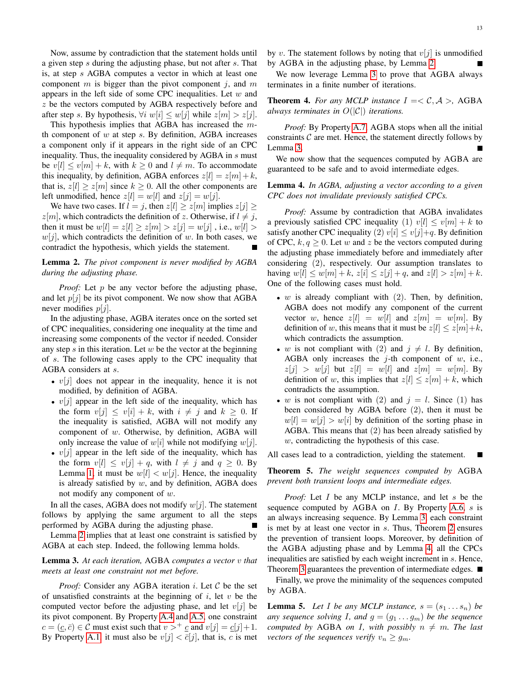Now, assume by contradiction that the statement holds until a given step s during the adjusting phase, but not after s. That is, at step s AGBA computes a vector in which at least one component  $m$  is bigger than the pivot component  $j$ , and  $m$ appears in the left side of some CPC inequalities. Let  $w$  and z be the vectors computed by AGBA respectively before and after step s. By hypothesis,  $\forall i \ w[i] \leq w[j]$  while  $z[m] > z[j]$ .

This hypothesis implies that AGBA has increased the  $m$ th component of  $w$  at step  $s$ . By definition, AGBA increases a component only if it appears in the right side of an CPC inequality. Thus, the inequality considered by AGBA in  $s$  must be  $v[l] \le v[m] + k$ , with  $k \ge 0$  and  $l \ne m$ . To accommodate this inequality, by definition, AGBA enforces  $z[l] = z[m] + k$ , that is,  $z[l] \geq z[m]$  since  $k \geq 0$ . All the other components are left unmodified, hence  $z[l] = w[l]$  and  $z[j] = w[j]$ .

We have two cases. If  $l = j$ , then  $z[l] \geq z[m]$  implies  $z[j] \geq$  $z[m]$ , which contradicts the definition of z. Otherwise, if  $l \neq j$ , then it must be  $w[l] = z[l] \ge z[m] > z[j] = w[j]$ , i.e.,  $w[l] >$  $w[i]$ , which contradicts the definition of w. In both cases, we contradict the hypothesis, which yields the statement.

<span id="page-12-2"></span>Lemma 2. *The pivot component is never modified by AGBA during the adjusting phase.*

*Proof:* Let  $p$  be any vector before the adjusting phase, and let  $p[i]$  be its pivot component. We now show that AGBA never modifies  $p[i]$ .

In the adjusting phase, AGBA iterates once on the sorted set of CPC inequalities, considering one inequality at the time and increasing some components of the vector if needed. Consider any step  $s$  in this iteration. Let  $w$  be the vector at the beginning of s. The following cases apply to the CPC inequality that AGBA considers at s.

- $v[j]$  does not appear in the inequality, hence it is not modified, by definition of AGBA.
- $v[j]$  appear in the left side of the inequality, which has the form  $v[j] \le v[i] + k$ , with  $i \ne j$  and  $k \ge 0$ . If the inequality is satisfied, AGBA will not modify any component of w. Otherwise, by definition, AGBA will only increase the value of  $w[i]$  while not modifying  $w[j]$ .
- $v[j]$  appear in the left side of the inequality, which has the form  $v[l] \le v[j] + q$ , with  $l \ne j$  and  $q \ge 0$ . By Lemma [1,](#page-11-4) it must be  $w[l] < w[j]$ . Hence, the inequality is already satisfied by  $w$ , and by definition, AGBA does not modify any component of  $w$ .

In all the cases, AGBA does not modify  $w[j]$ . The statement follows by applying the same argument to all the steps performed by AGBA during the adjusting phase.

Lemma [2](#page-12-2) implies that at least one constraint is satisfied by AGBA at each step. Indeed, the following lemma holds.

<span id="page-12-3"></span>Lemma 3. *At each iteration,* AGBA *computes a vector* v *that meets at least one constraint not met before.*

*Proof:* Consider any AGBA iteration  $i$ . Let  $C$  be the set of unsatisfied constraints at the beginning of  $i$ , let  $v$  be the computed vector before the adjusting phase, and let  $v[j]$  be its pivot component. By Property [A.4](#page-11-0) and [A.5,](#page-11-1) one constraint  $c = (\underline{c}, \overline{c}) \in \mathcal{C}$  must exist such that  $v >^+ \underline{c}$  and  $v[j] = \underline{c}[j]+1$ . By Property [A.1,](#page-10-15) it must also be  $v[j] < \overline{c}[j]$ , that is, c is met by v. The statement follows by noting that  $v[i]$  is unmodified by AGBA in the adjusting phase, by Lemma [2.](#page-12-2)

We now leverage Lemma [3](#page-12-3) to prove that AGBA always terminates in a finite number of iterations.

<span id="page-12-0"></span>**Theorem 4.** For any MCLP instance  $I = \langle C, A \rangle$ , AGBA *always terminates in* O(|C|) *iterations.*

*Proof:* By Property [A.7,](#page-11-3) AGBA stops when all the initial constraints  $\mathcal C$  are met. Hence, the statement directly follows by Lemma [3.](#page-12-3)

We now show that the sequences computed by AGBA are guaranteed to be safe and to avoid intermediate edges.

# <span id="page-12-4"></span>Lemma 4. *In AGBA, adjusting a vector according to a given CPC does not invalidate previously satisfied CPCs.*

*Proof:* Assume by contradiction that AGBA invalidates a previously satisfied CPC inequality (1)  $v[l] \le v[m] + k$  to satisfy another CPC inequality (2)  $v[i] \le v[j]+q$ . By definition of CPC,  $k, q \ge 0$ . Let w and z be the vectors computed during the adjusting phase immediately before and immediately after considering (2), respectively. Our assumption translates to having  $w[l] \leq w[m] + k$ ,  $z[i] \leq z[j] + q$ , and  $z[l] > z[m] + k$ . One of the following cases must hold.

- $w$  is already compliant with  $(2)$ . Then, by definition, AGBA does not modify any component of the current vector w, hence  $z[l] = w[l]$  and  $z[m] = w[m]$ . By definition of w, this means that it must be  $z[l] \leq z[m]+k$ , which contradicts the assumption.
- w is not compliant with (2) and  $j \neq l$ . By definition, AGBA only increases the  $j$ -th component of  $w$ , i.e.,  $z[i] > w[i]$  but  $z[l] = w[l]$  and  $z[m] = w[m]$ . By definition of w, this implies that  $z[l] \leq z[m] + k$ , which contradicts the assumption.
- w is not compliant with (2) and  $j = l$ . Since (1) has been considered by AGBA before (2), then it must be  $w[i] = w[j] > w[i]$  by definition of the sorting phase in AGBA. This means that (2) has been already satisfied by w, contradicting the hypothesis of this case.

All cases lead to a contradiction, yielding the statement.

<span id="page-12-1"></span>Theorem 5. *The weight sequences computed by* AGBA *prevent both transient loops and intermediate edges.*

*Proof:* Let *I* be any MCLP instance, and let *s* be the sequence computed by AGBA on  $I$ . By Property [A.6,](#page-11-2)  $s$  is an always increasing sequence. By Lemma [3,](#page-12-3) each constraint is met by at least one vector in s. Thus, Theorem [2](#page-3-2) ensures the prevention of transient loops. Moreover, by definition of the AGBA adjusting phase and by Lemma [4,](#page-12-4) all the CPCs inequalities are satisfied by each weight increment in s. Hence, Theorem [3](#page-6-0) guarantees the prevention of intermediate edges. ■

Finally, we prove the minimality of the sequences computed by AGBA.

<span id="page-12-5"></span>**Lemma 5.** Let I be any MCLP instance,  $s = (s_1 \dots s_n)$  be *any sequence solving I, and*  $g = (g_1 \dots g_m)$  *be the sequence computed by* AGBA *on* I, with possibly  $n \neq m$ . The last *vectors of the sequences verify*  $v_n \geq q_m$ .